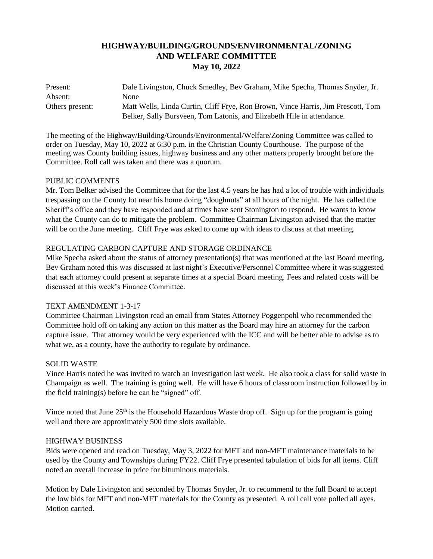# **HIGHWAY/BUILDING/GROUNDS/ENVIRONMENTAL/ZONING AND WELFARE COMMITTEE May 10, 2022**

| Present:        | Dale Livingston, Chuck Smedley, Bev Graham, Mike Specha, Thomas Snyder, Jr.      |
|-----------------|----------------------------------------------------------------------------------|
| Absent:         | None                                                                             |
| Others present: | Matt Wells, Linda Curtin, Cliff Frye, Ron Brown, Vince Harris, Jim Prescott, Tom |
|                 | Belker, Sally Bursveen, Tom Latonis, and Elizabeth Hile in attendance.           |

The meeting of the Highway/Building/Grounds/Environmental/Welfare/Zoning Committee was called to order on Tuesday, May 10, 2022 at 6:30 p.m. in the Christian County Courthouse. The purpose of the meeting was County building issues, highway business and any other matters properly brought before the Committee. Roll call was taken and there was a quorum.

## PUBLIC COMMENTS

Mr. Tom Belker advised the Committee that for the last 4.5 years he has had a lot of trouble with individuals trespassing on the County lot near his home doing "doughnuts" at all hours of the night. He has called the Sheriff's office and they have responded and at times have sent Stonington to respond. He wants to know what the County can do to mitigate the problem. Committee Chairman Livingston advised that the matter will be on the June meeting. Cliff Frye was asked to come up with ideas to discuss at that meeting.

## REGULATING CARBON CAPTURE AND STORAGE ORDINANCE

Mike Specha asked about the status of attorney presentation(s) that was mentioned at the last Board meeting. Bev Graham noted this was discussed at last night's Executive/Personnel Committee where it was suggested that each attorney could present at separate times at a special Board meeting. Fees and related costs will be discussed at this week's Finance Committee.

#### TEXT AMENDMENT 1-3-17

Committee Chairman Livingston read an email from States Attorney Poggenpohl who recommended the Committee hold off on taking any action on this matter as the Board may hire an attorney for the carbon capture issue. That attorney would be very experienced with the ICC and will be better able to advise as to what we, as a county, have the authority to regulate by ordinance.

#### SOLID WASTE

Vince Harris noted he was invited to watch an investigation last week. He also took a class for solid waste in Champaign as well. The training is going well. He will have 6 hours of classroom instruction followed by in the field training(s) before he can be "signed" off.

Vince noted that June  $25<sup>th</sup>$  is the Household Hazardous Waste drop off. Sign up for the program is going well and there are approximately 500 time slots available.

#### HIGHWAY BUSINESS

Bids were opened and read on Tuesday, May 3, 2022 for MFT and non-MFT maintenance materials to be used by the County and Townships during FY22. Cliff Frye presented tabulation of bids for all items. Cliff noted an overall increase in price for bituminous materials.

Motion by Dale Livingston and seconded by Thomas Snyder, Jr. to recommend to the full Board to accept the low bids for MFT and non-MFT materials for the County as presented. A roll call vote polled all ayes. Motion carried.